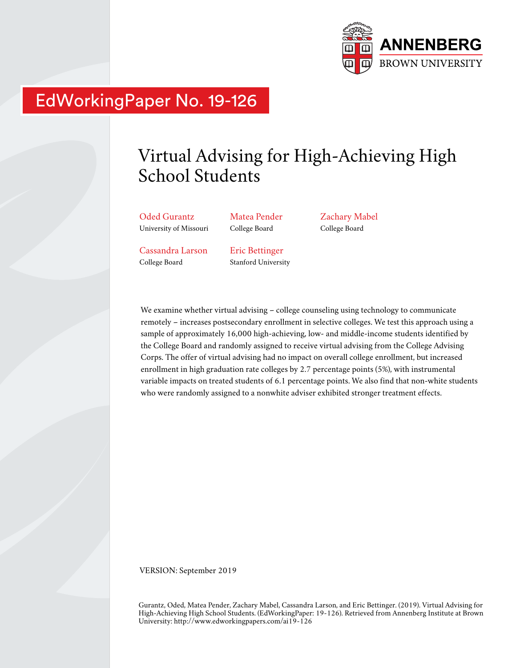

## EdWorkingPaper No. 19-126

# Virtual Advising for High-Achieving High School Students

Oded Gurantz University of Missouri Matea Pender College Board

Zachary Mabel College Board

Cassandra Larson College Board

Eric Bettinger Stanford University

We examine whether virtual advising – college counseling using technology to communicate remotely – increases postsecondary enrollment in selective colleges. We test this approach using a sample of approximately 16,000 high-achieving, low- and middle-income students identified by the College Board and randomly assigned to receive virtual advising from the College Advising Corps. The offer of virtual advising had no impact on overall college enrollment, but increased enrollment in high graduation rate colleges by 2.7 percentage points (5%), with instrumental variable impacts on treated students of 6.1 percentage points. We also find that non-white students who were randomly assigned to a nonwhite adviser exhibited stronger treatment effects.

VERSION: September 2019

Gurantz, Oded, Matea Pender, Zachary Mabel, Cassandra Larson, and Eric Bettinger. (2019). Virtual Advising for High-Achieving High School Students. (EdWorkingPaper: 19-126). Retrieved from Annenberg Institute at Brown University: http://www.edworkingpapers.com/ai19-126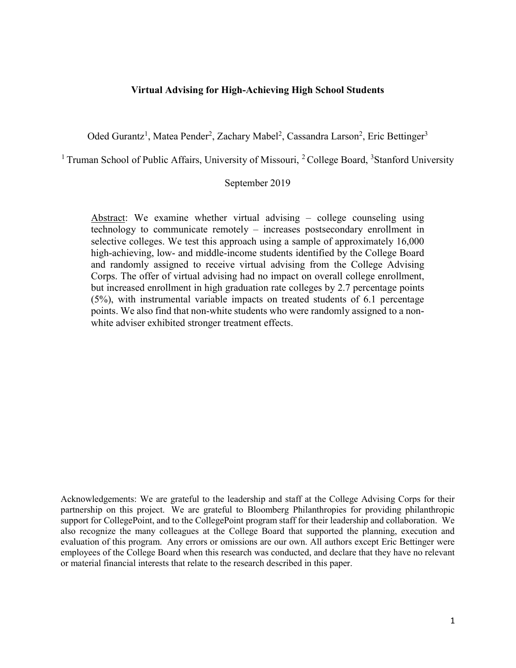#### Virtual Advising for High-Achieving High School Students

Oded Gurantz<sup>1</sup>, Matea Pender<sup>2</sup>, Zachary Mabel<sup>2</sup>, Cassandra Larson<sup>2</sup>, Eric Bettinger<sup>3</sup>

<sup>1</sup> Truman School of Public Affairs, University of Missouri, <sup>2</sup> College Board, <sup>3</sup>Stanford University

### September 2019

Abstract: We examine whether virtual advising – college counseling using technology to communicate remotely – increases postsecondary enrollment in selective colleges. We test this approach using a sample of approximately 16,000 high-achieving, low- and middle-income students identified by the College Board and randomly assigned to receive virtual advising from the College Advising Corps. The offer of virtual advising had no impact on overall college enrollment, but increased enrollment in high graduation rate colleges by 2.7 percentage points (5%), with instrumental variable impacts on treated students of 6.1 percentage points. We also find that non-white students who were randomly assigned to a nonwhite adviser exhibited stronger treatment effects.

Acknowledgements: We are grateful to the leadership and staff at the College Advising Corps for their partnership on this project. We are grateful to Bloomberg Philanthropies for providing philanthropic support for CollegePoint, and to the CollegePoint program staff for their leadership and collaboration. We also recognize the many colleagues at the College Board that supported the planning, execution and evaluation of this program. Any errors or omissions are our own. All authors except Eric Bettinger were employees of the College Board when this research was conducted, and declare that they have no relevant or material financial interests that relate to the research described in this paper.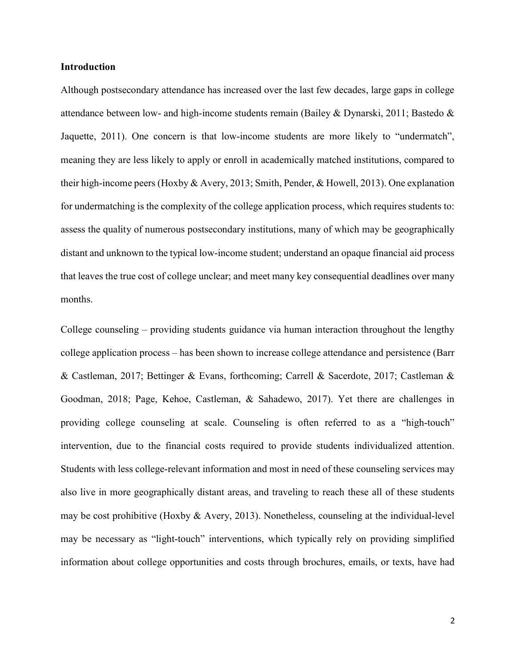#### Introduction

Although postsecondary attendance has increased over the last few decades, large gaps in college attendance between low- and high-income students remain (Bailey & Dynarski, 2011; Bastedo & Jaquette, 2011). One concern is that low-income students are more likely to "undermatch", meaning they are less likely to apply or enroll in academically matched institutions, compared to their high-income peers (Hoxby & Avery, 2013; Smith, Pender, & Howell, 2013). One explanation for undermatching is the complexity of the college application process, which requires students to: assess the quality of numerous postsecondary institutions, many of which may be geographically distant and unknown to the typical low-income student; understand an opaque financial aid process that leaves the true cost of college unclear; and meet many key consequential deadlines over many months.

College counseling – providing students guidance via human interaction throughout the lengthy college application process – has been shown to increase college attendance and persistence (Barr & Castleman, 2017; Bettinger & Evans, forthcoming; Carrell & Sacerdote, 2017; Castleman & Goodman, 2018; Page, Kehoe, Castleman, & Sahadewo, 2017). Yet there are challenges in providing college counseling at scale. Counseling is often referred to as a "high-touch" intervention, due to the financial costs required to provide students individualized attention. Students with less college-relevant information and most in need of these counseling services may also live in more geographically distant areas, and traveling to reach these all of these students may be cost prohibitive (Hoxby & Avery, 2013). Nonetheless, counseling at the individual-level may be necessary as "light-touch" interventions, which typically rely on providing simplified information about college opportunities and costs through brochures, emails, or texts, have had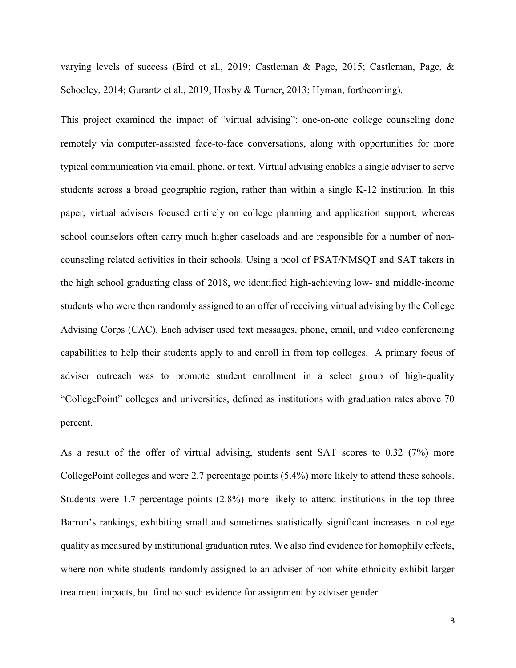varying levels of success (Bird et al., 2019; Castleman & Page, 2015; Castleman, Page, & Schooley, 2014; Gurantz et al., 2019; Hoxby & Turner, 2013; Hyman, forthcoming).

This project examined the impact of "virtual advising": one-on-one college counseling done remotely via computer-assisted face-to-face conversations, along with opportunities for more typical communication via email, phone, or text. Virtual advising enables a single adviser to serve students across a broad geographic region, rather than within a single K-12 institution. In this paper, virtual advisers focused entirely on college planning and application support, whereas school counselors often carry much higher caseloads and are responsible for a number of noncounseling related activities in their schools. Using a pool of PSAT/NMSQT and SAT takers in the high school graduating class of 2018, we identified high-achieving low- and middle-income students who were then randomly assigned to an offer of receiving virtual advising by the College Advising Corps (CAC). Each adviser used text messages, phone, email, and video conferencing capabilities to help their students apply to and enroll in from top colleges. A primary focus of adviser outreach was to promote student enrollment in a select group of high-quality "CollegePoint" colleges and universities, defined as institutions with graduation rates above 70 percent.

As a result of the offer of virtual advising, students sent SAT scores to 0.32 (7%) more CollegePoint colleges and were 2.7 percentage points (5.4%) more likely to attend these schools. Students were 1.7 percentage points (2.8%) more likely to attend institutions in the top three Barron's rankings, exhibiting small and sometimes statistically significant increases in college quality as measured by institutional graduation rates. We also find evidence for homophily effects, where non-white students randomly assigned to an adviser of non-white ethnicity exhibit larger treatment impacts, but find no such evidence for assignment by adviser gender.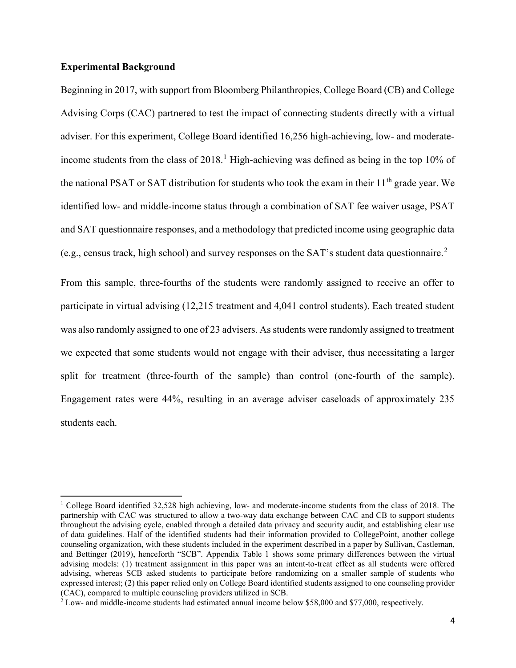#### Experimental Background

 $\overline{a}$ 

Beginning in 2017, with support from Bloomberg Philanthropies, College Board (CB) and College Advising Corps (CAC) partnered to test the impact of connecting students directly with a virtual adviser. For this experiment, College Board identified 16,256 high-achieving, low- and moderateincome students from the class of  $2018$ .<sup>1</sup> High-achieving was defined as being in the top 10% of the national PSAT or SAT distribution for students who took the exam in their  $11<sup>th</sup>$  grade year. We identified low- and middle-income status through a combination of SAT fee waiver usage, PSAT and SAT questionnaire responses, and a methodology that predicted income using geographic data (e.g., census track, high school) and survey responses on the SAT's student data questionnaire.<sup>2</sup>

From this sample, three-fourths of the students were randomly assigned to receive an offer to participate in virtual advising (12,215 treatment and 4,041 control students). Each treated student was also randomly assigned to one of 23 advisers. As students were randomly assigned to treatment we expected that some students would not engage with their adviser, thus necessitating a larger split for treatment (three-fourth of the sample) than control (one-fourth of the sample). Engagement rates were 44%, resulting in an average adviser caseloads of approximately 235 students each.

<sup>&</sup>lt;sup>1</sup> College Board identified 32,528 high achieving, low- and moderate-income students from the class of 2018. The partnership with CAC was structured to allow a two-way data exchange between CAC and CB to support students throughout the advising cycle, enabled through a detailed data privacy and security audit, and establishing clear use of data guidelines. Half of the identified students had their information provided to CollegePoint, another college counseling organization, with these students included in the experiment described in a paper by Sullivan, Castleman, and Bettinger (2019), henceforth "SCB". Appendix Table 1 shows some primary differences between the virtual advising models: (1) treatment assignment in this paper was an intent-to-treat effect as all students were offered advising, whereas SCB asked students to participate before randomizing on a smaller sample of students who expressed interest; (2) this paper relied only on College Board identified students assigned to one counseling provider (CAC), compared to multiple counseling providers utilized in SCB.

<sup>&</sup>lt;sup>2</sup> Low- and middle-income students had estimated annual income below \$58,000 and \$77,000, respectively.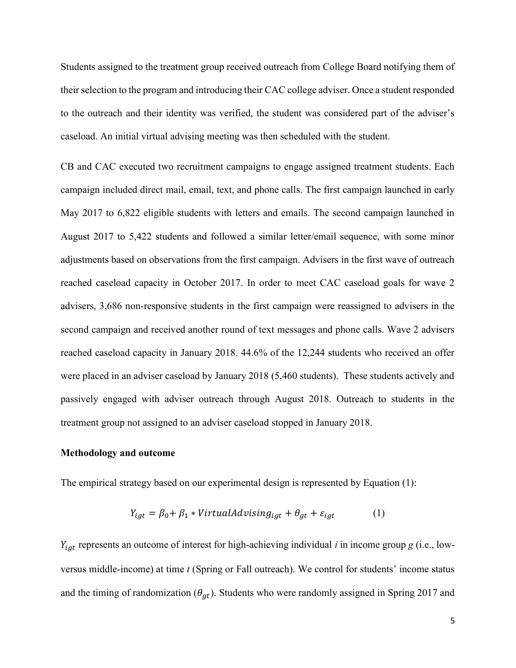Students assigned to the treatment group received outreach from College Board notifying them of their selection to the program and introducing their CAC college adviser. Once a student responded to the outreach and their identity was verified, the student was considered part of the adviser's caseload. An initial virtual advising meeting was then scheduled with the student.

CB and CAC executed two recruitment campaigns to engage assigned treatment students. Each campaign included direct mail, email, text, and phone calls. The first campaign launched in early May 2017 to 6,822 eligible students with letters and emails. The second campaign launched in August 2017 to 5,422 students and followed a similar letter/email sequence, with some minor adjustments based on observations from the first campaign. Advisers in the first wave of outreach reached caseload capacity in October 2017. In order to meet CAC caseload goals for wave 2 advisers, 3,686 non-responsive students in the first campaign were reassigned to advisers in the second campaign and received another round of text messages and phone calls. Wave 2 advisers reached caseload capacity in January 2018. 44.6% of the 12,244 students who received an offer were placed in an adviser caseload by January 2018 (5,460 students). These students actively and passively engaged with adviser outreach through August 2018. Outreach to students in the treatment group not assigned to an adviser caseload stopped in January 2018.

#### Methodology and outcome

The empirical strategy based on our experimental design is represented by Equation (1):

$$
Y_{igt} = \beta_0 + \beta_1 * VirtualAdvising_{igt} + \theta_{gt} + \varepsilon_{igt}
$$
 (1)

 $Y_{igt}$  represents an outcome of interest for high-achieving individual *i* in income group g (i.e., lowversus middle-income) at time  $t$  (Spring or Fall outreach). We control for students' income status and the timing of randomization ( $\theta_{gt}$ ). Students who were randomly assigned in Spring 2017 and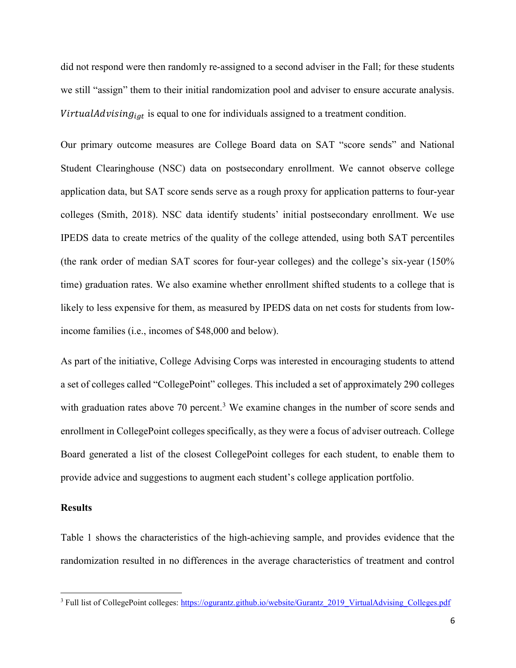did not respond were then randomly re-assigned to a second adviser in the Fall; for these students we still "assign" them to their initial randomization pool and adviser to ensure accurate analysis. VirtualAdvisin $g_{igt}$  is equal to one for individuals assigned to a treatment condition.

Our primary outcome measures are College Board data on SAT "score sends" and National Student Clearinghouse (NSC) data on postsecondary enrollment. We cannot observe college application data, but SAT score sends serve as a rough proxy for application patterns to four-year colleges (Smith, 2018). NSC data identify students' initial postsecondary enrollment. We use IPEDS data to create metrics of the quality of the college attended, using both SAT percentiles (the rank order of median SAT scores for four-year colleges) and the college's six-year (150% time) graduation rates. We also examine whether enrollment shifted students to a college that is likely to less expensive for them, as measured by IPEDS data on net costs for students from lowincome families (i.e., incomes of \$48,000 and below).

As part of the initiative, College Advising Corps was interested in encouraging students to attend a set of colleges called "CollegePoint" colleges. This included a set of approximately 290 colleges with graduation rates above 70 percent.<sup>3</sup> We examine changes in the number of score sends and enrollment in CollegePoint colleges specifically, as they were a focus of adviser outreach. College Board generated a list of the closest CollegePoint colleges for each student, to enable them to provide advice and suggestions to augment each student's college application portfolio.

#### **Results**

Table 1 shows the characteristics of the high-achieving sample, and provides evidence that the randomization resulted in no differences in the average characteristics of treatment and control

<sup>&</sup>lt;sup>3</sup> Full list of CollegePoint colleges: https://ogurantz.github.io/website/Gurantz\_2019\_VirtualAdvising\_Colleges.pdf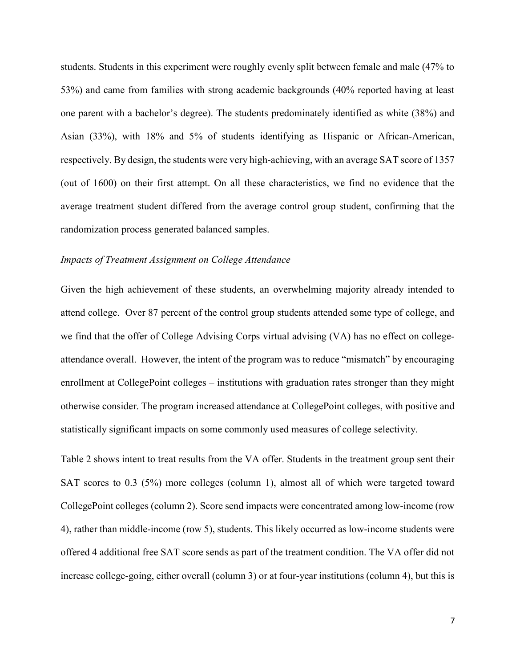students. Students in this experiment were roughly evenly split between female and male (47% to 53%) and came from families with strong academic backgrounds (40% reported having at least one parent with a bachelor's degree). The students predominately identified as white (38%) and Asian (33%), with 18% and 5% of students identifying as Hispanic or African-American, respectively. By design, the students were very high-achieving, with an average SAT score of 1357 (out of 1600) on their first attempt. On all these characteristics, we find no evidence that the average treatment student differed from the average control group student, confirming that the randomization process generated balanced samples.

#### Impacts of Treatment Assignment on College Attendance

Given the high achievement of these students, an overwhelming majority already intended to attend college. Over 87 percent of the control group students attended some type of college, and we find that the offer of College Advising Corps virtual advising (VA) has no effect on collegeattendance overall. However, the intent of the program was to reduce "mismatch" by encouraging enrollment at CollegePoint colleges – institutions with graduation rates stronger than they might otherwise consider. The program increased attendance at CollegePoint colleges, with positive and statistically significant impacts on some commonly used measures of college selectivity.

Table 2 shows intent to treat results from the VA offer. Students in the treatment group sent their SAT scores to 0.3 (5%) more colleges (column 1), almost all of which were targeted toward CollegePoint colleges (column 2). Score send impacts were concentrated among low-income (row 4), rather than middle-income (row 5), students. This likely occurred as low-income students were offered 4 additional free SAT score sends as part of the treatment condition. The VA offer did not increase college-going, either overall (column 3) or at four-year institutions (column 4), but this is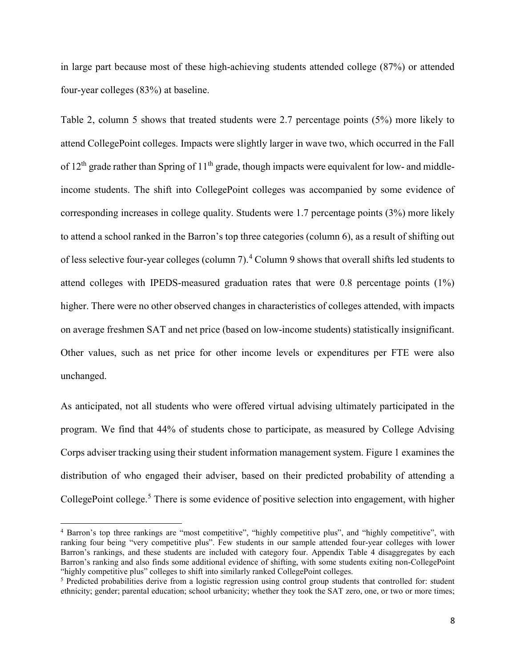in large part because most of these high-achieving students attended college (87%) or attended four-year colleges (83%) at baseline.

Table 2, column 5 shows that treated students were 2.7 percentage points (5%) more likely to attend CollegePoint colleges. Impacts were slightly larger in wave two, which occurred in the Fall of  $12<sup>th</sup>$  grade rather than Spring of  $11<sup>th</sup>$  grade, though impacts were equivalent for low- and middleincome students. The shift into CollegePoint colleges was accompanied by some evidence of corresponding increases in college quality. Students were 1.7 percentage points (3%) more likely to attend a school ranked in the Barron's top three categories (column 6), as a result of shifting out of less selective four-year colleges (column 7).<sup>4</sup> Column 9 shows that overall shifts led students to attend colleges with IPEDS-measured graduation rates that were 0.8 percentage points (1%) higher. There were no other observed changes in characteristics of colleges attended, with impacts on average freshmen SAT and net price (based on low-income students) statistically insignificant. Other values, such as net price for other income levels or expenditures per FTE were also unchanged.

As anticipated, not all students who were offered virtual advising ultimately participated in the program. We find that 44% of students chose to participate, as measured by College Advising Corps adviser tracking using their student information management system. Figure 1 examines the distribution of who engaged their adviser, based on their predicted probability of attending a CollegePoint college.<sup>5</sup> There is some evidence of positive selection into engagement, with higher

<sup>4</sup> Barron's top three rankings are "most competitive", "highly competitive plus", and "highly competitive", with ranking four being "very competitive plus". Few students in our sample attended four-year colleges with lower Barron's rankings, and these students are included with category four. Appendix Table 4 disaggregates by each Barron's ranking and also finds some additional evidence of shifting, with some students exiting non-CollegePoint "highly competitive plus" colleges to shift into similarly ranked CollegePoint colleges.

<sup>&</sup>lt;sup>5</sup> Predicted probabilities derive from a logistic regression using control group students that controlled for: student ethnicity; gender; parental education; school urbanicity; whether they took the SAT zero, one, or two or more times;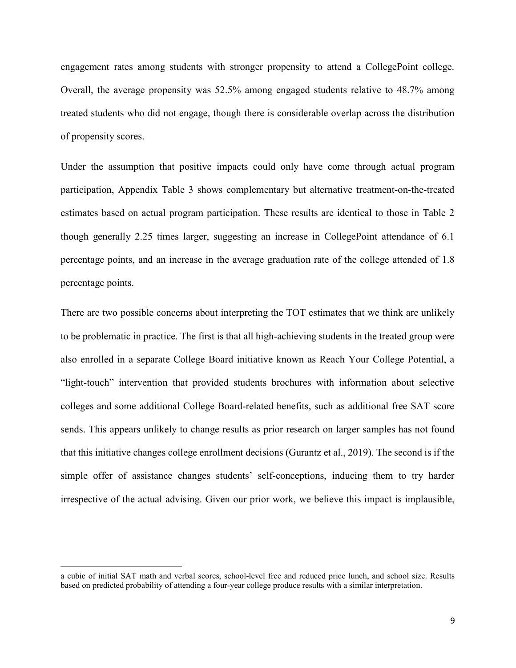engagement rates among students with stronger propensity to attend a CollegePoint college. Overall, the average propensity was 52.5% among engaged students relative to 48.7% among treated students who did not engage, though there is considerable overlap across the distribution of propensity scores.

Under the assumption that positive impacts could only have come through actual program participation, Appendix Table 3 shows complementary but alternative treatment-on-the-treated estimates based on actual program participation. These results are identical to those in Table 2 though generally 2.25 times larger, suggesting an increase in CollegePoint attendance of 6.1 percentage points, and an increase in the average graduation rate of the college attended of 1.8 percentage points.

There are two possible concerns about interpreting the TOT estimates that we think are unlikely to be problematic in practice. The first is that all high-achieving students in the treated group were also enrolled in a separate College Board initiative known as Reach Your College Potential, a "light-touch" intervention that provided students brochures with information about selective colleges and some additional College Board-related benefits, such as additional free SAT score sends. This appears unlikely to change results as prior research on larger samples has not found that this initiative changes college enrollment decisions (Gurantz et al., 2019). The second is if the simple offer of assistance changes students' self-conceptions, inducing them to try harder irrespective of the actual advising. Given our prior work, we believe this impact is implausible,

 $\overline{a}$ 

a cubic of initial SAT math and verbal scores, school-level free and reduced price lunch, and school size. Results based on predicted probability of attending a four-year college produce results with a similar interpretation.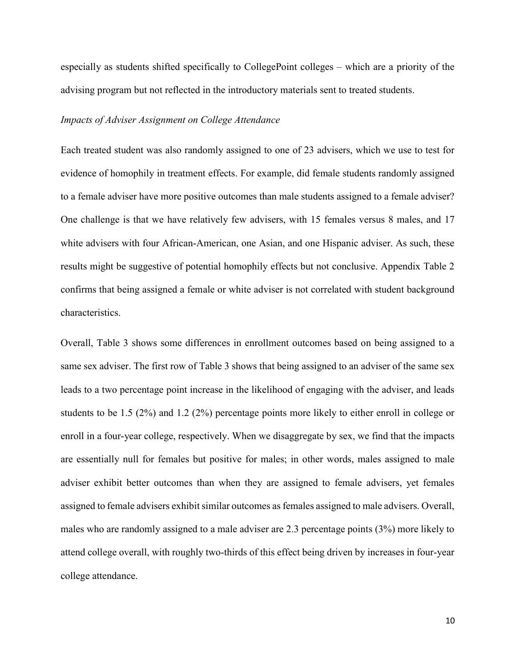especially as students shifted specifically to CollegePoint colleges – which are a priority of the advising program but not reflected in the introductory materials sent to treated students.

#### Impacts of Adviser Assignment on College Attendance

Each treated student was also randomly assigned to one of 23 advisers, which we use to test for evidence of homophily in treatment effects. For example, did female students randomly assigned to a female adviser have more positive outcomes than male students assigned to a female adviser? One challenge is that we have relatively few advisers, with 15 females versus 8 males, and 17 white advisers with four African-American, one Asian, and one Hispanic adviser. As such, these results might be suggestive of potential homophily effects but not conclusive. Appendix Table 2 confirms that being assigned a female or white adviser is not correlated with student background characteristics.

Overall, Table 3 shows some differences in enrollment outcomes based on being assigned to a same sex adviser. The first row of Table 3 shows that being assigned to an adviser of the same sex leads to a two percentage point increase in the likelihood of engaging with the adviser, and leads students to be 1.5 (2%) and 1.2 (2%) percentage points more likely to either enroll in college or enroll in a four-year college, respectively. When we disaggregate by sex, we find that the impacts are essentially null for females but positive for males; in other words, males assigned to male adviser exhibit better outcomes than when they are assigned to female advisers, yet females assigned to female advisers exhibit similar outcomes as females assigned to male advisers. Overall, males who are randomly assigned to a male adviser are 2.3 percentage points (3%) more likely to attend college overall, with roughly two-thirds of this effect being driven by increases in four-year college attendance.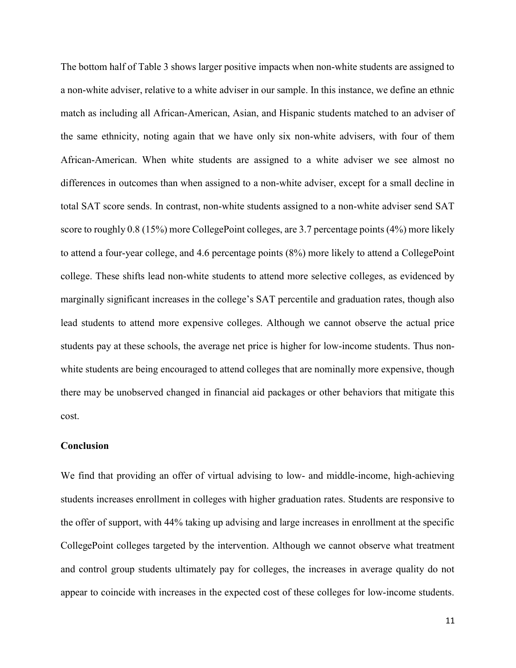The bottom half of Table 3 shows larger positive impacts when non-white students are assigned to a non-white adviser, relative to a white adviser in our sample. In this instance, we define an ethnic match as including all African-American, Asian, and Hispanic students matched to an adviser of the same ethnicity, noting again that we have only six non-white advisers, with four of them African-American. When white students are assigned to a white adviser we see almost no differences in outcomes than when assigned to a non-white adviser, except for a small decline in total SAT score sends. In contrast, non-white students assigned to a non-white adviser send SAT score to roughly 0.8 (15%) more CollegePoint colleges, are 3.7 percentage points (4%) more likely to attend a four-year college, and 4.6 percentage points (8%) more likely to attend a CollegePoint college. These shifts lead non-white students to attend more selective colleges, as evidenced by marginally significant increases in the college's SAT percentile and graduation rates, though also lead students to attend more expensive colleges. Although we cannot observe the actual price students pay at these schools, the average net price is higher for low-income students. Thus nonwhite students are being encouraged to attend colleges that are nominally more expensive, though there may be unobserved changed in financial aid packages or other behaviors that mitigate this cost.

#### Conclusion

We find that providing an offer of virtual advising to low- and middle-income, high-achieving students increases enrollment in colleges with higher graduation rates. Students are responsive to the offer of support, with 44% taking up advising and large increases in enrollment at the specific CollegePoint colleges targeted by the intervention. Although we cannot observe what treatment and control group students ultimately pay for colleges, the increases in average quality do not appear to coincide with increases in the expected cost of these colleges for low-income students.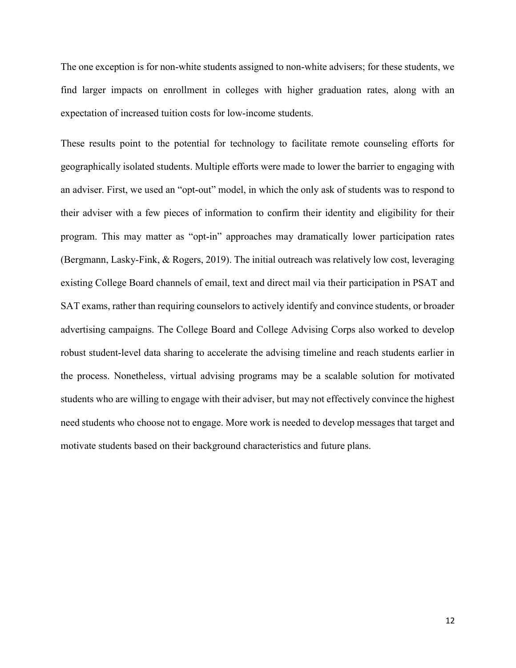The one exception is for non-white students assigned to non-white advisers; for these students, we find larger impacts on enrollment in colleges with higher graduation rates, along with an expectation of increased tuition costs for low-income students.

These results point to the potential for technology to facilitate remote counseling efforts for geographically isolated students. Multiple efforts were made to lower the barrier to engaging with an adviser. First, we used an "opt-out" model, in which the only ask of students was to respond to their adviser with a few pieces of information to confirm their identity and eligibility for their program. This may matter as "opt-in" approaches may dramatically lower participation rates (Bergmann, Lasky-Fink, & Rogers, 2019). The initial outreach was relatively low cost, leveraging existing College Board channels of email, text and direct mail via their participation in PSAT and SAT exams, rather than requiring counselors to actively identify and convince students, or broader advertising campaigns. The College Board and College Advising Corps also worked to develop robust student-level data sharing to accelerate the advising timeline and reach students earlier in the process. Nonetheless, virtual advising programs may be a scalable solution for motivated students who are willing to engage with their adviser, but may not effectively convince the highest need students who choose not to engage. More work is needed to develop messages that target and motivate students based on their background characteristics and future plans.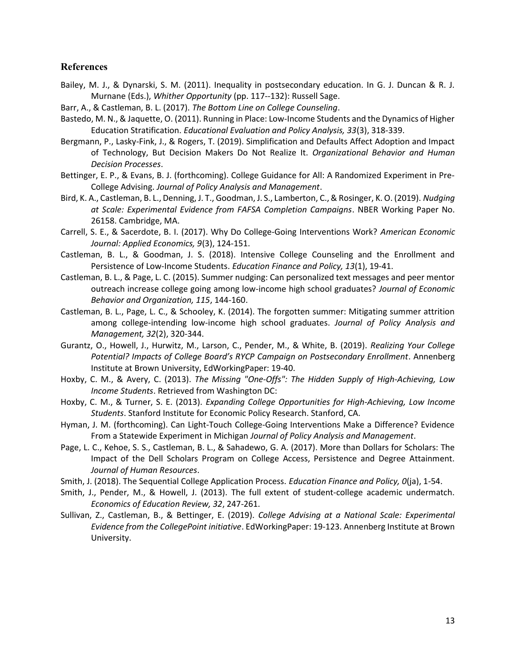#### References

- Bailey, M. J., & Dynarski, S. M. (2011). Inequality in postsecondary education. In G. J. Duncan & R. J. Murnane (Eds.), Whither Opportunity (pp. 117--132): Russell Sage.
- Barr, A., & Castleman, B. L. (2017). The Bottom Line on College Counseling.
- Bastedo, M. N., & Jaquette, O. (2011). Running in Place: Low-Income Students and the Dynamics of Higher Education Stratification. Educational Evaluation and Policy Analysis, 33(3), 318-339.
- Bergmann, P., Lasky-Fink, J., & Rogers, T. (2019). Simplification and Defaults Affect Adoption and Impact of Technology, But Decision Makers Do Not Realize It. Organizational Behavior and Human Decision Processes.
- Bettinger, E. P., & Evans, B. J. (forthcoming). College Guidance for All: A Randomized Experiment in Pre-College Advising. Journal of Policy Analysis and Management.
- Bird, K. A., Castleman, B. L., Denning, J. T., Goodman, J. S., Lamberton, C., & Rosinger, K. O. (2019). Nudging at Scale: Experimental Evidence from FAFSA Completion Campaigns. NBER Working Paper No. 26158. Cambridge, MA.
- Carrell, S. E., & Sacerdote, B. I. (2017). Why Do College-Going Interventions Work? American Economic Journal: Applied Economics, 9(3), 124-151.
- Castleman, B. L., & Goodman, J. S. (2018). Intensive College Counseling and the Enrollment and Persistence of Low-Income Students. Education Finance and Policy, 13(1), 19-41.
- Castleman, B. L., & Page, L. C. (2015). Summer nudging: Can personalized text messages and peer mentor outreach increase college going among low-income high school graduates? Journal of Economic Behavior and Organization, 115, 144-160.
- Castleman, B. L., Page, L. C., & Schooley, K. (2014). The forgotten summer: Mitigating summer attrition among college-intending low-income high school graduates. Journal of Policy Analysis and Management, 32(2), 320-344.
- Gurantz, O., Howell, J., Hurwitz, M., Larson, C., Pender, M., & White, B. (2019). Realizing Your College Potential? Impacts of College Board's RYCP Campaign on Postsecondary Enrollment. Annenberg Institute at Brown University, EdWorkingPaper: 19-40.
- Hoxby, C. M., & Avery, C. (2013). The Missing "One-Offs": The Hidden Supply of High-Achieving, Low Income Students. Retrieved from Washington DC:
- Hoxby, C. M., & Turner, S. E. (2013). Expanding College Opportunities for High-Achieving, Low Income Students. Stanford Institute for Economic Policy Research. Stanford, CA.
- Hyman, J. M. (forthcoming). Can Light-Touch College-Going Interventions Make a Difference? Evidence From a Statewide Experiment in Michigan Journal of Policy Analysis and Management.
- Page, L. C., Kehoe, S. S., Castleman, B. L., & Sahadewo, G. A. (2017). More than Dollars for Scholars: The Impact of the Dell Scholars Program on College Access, Persistence and Degree Attainment. Journal of Human Resources.
- Smith, J. (2018). The Sequential College Application Process. Education Finance and Policy, O(ja), 1-54.
- Smith, J., Pender, M., & Howell, J. (2013). The full extent of student-college academic undermatch. Economics of Education Review, 32, 247-261.
- Sullivan, Z., Castleman, B., & Bettinger, E. (2019). College Advising at a National Scale: Experimental Evidence from the CollegePoint initiative. EdWorkingPaper: 19-123. Annenberg Institute at Brown University.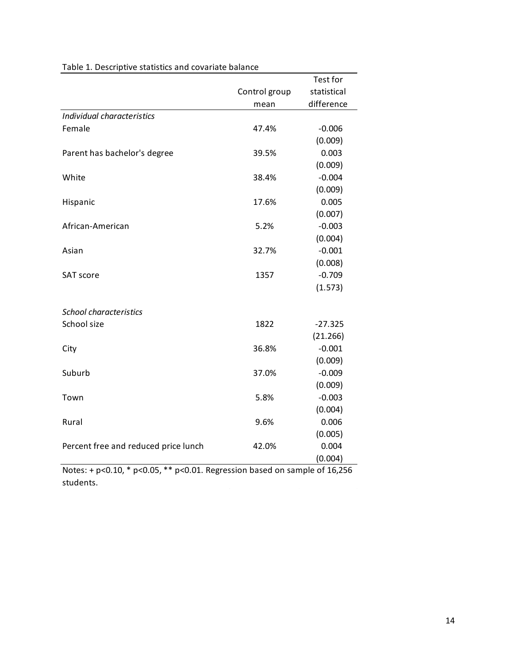| Table 1. Descriptive statistics and covariate balance |               |                     |
|-------------------------------------------------------|---------------|---------------------|
|                                                       |               |                     |
|                                                       |               |                     |
|                                                       |               |                     |
|                                                       |               |                     |
|                                                       |               |                     |
|                                                       |               |                     |
|                                                       |               | Test for            |
|                                                       | Control group | statistical         |
|                                                       | mean          | difference          |
| Individual characteristics                            |               |                     |
| Female                                                | 47.4%         | $-0.006$            |
|                                                       |               | (0.009)             |
| Parent has bachelor's degree                          | 39.5%         | 0.003               |
| White                                                 | 38.4%         | (0.009)<br>$-0.004$ |
|                                                       |               | (0.009)             |
| Hispanic                                              | 17.6%         | 0.005               |
|                                                       |               | (0.007)             |
| African-American                                      | 5.2%          | $-0.003$            |
|                                                       |               | (0.004)             |
| Asian                                                 | 32.7%         | $-0.001$            |
|                                                       |               | (0.008)             |
| SAT score                                             | 1357          | $-0.709$            |
|                                                       |               | (1.573)             |
| School characteristics                                |               |                     |
| School size                                           | 1822          | $-27.325$           |
|                                                       |               | (21.266)            |
| City                                                  | 36.8%         | $-0.001$            |
|                                                       |               | (0.009)             |
| Suburb                                                | 37.0%         | $-0.009$            |
|                                                       |               | (0.009)             |
| Town                                                  | 5.8%          | $-0.003$            |
|                                                       |               | (0.004)             |
| Rural                                                 | 9.6%          | 0.006               |
| Percent free and reduced price lunch                  | 42.0%         | (0.005)<br>0.004    |
|                                                       |               |                     |

### Table 1. Descriptive statistics and covariate balance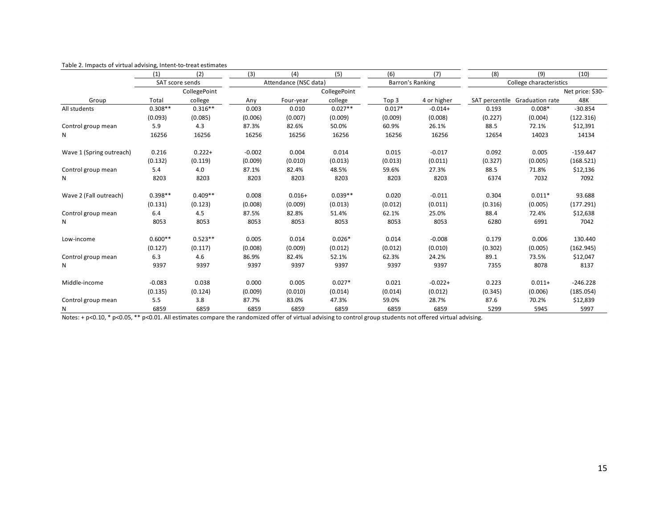|                          |             | Table 2. Impacts of virtual advising, Intent-to-treat estimates |                  |                              |               |                  |                                |              |                                |                       |
|--------------------------|-------------|-----------------------------------------------------------------|------------------|------------------------------|---------------|------------------|--------------------------------|--------------|--------------------------------|-----------------------|
|                          | (1)         | (2)<br>SAT score sends                                          | (3)              | (4)<br>Attendance (NSC data) | (5)           | (6)              | (7)<br><b>Barron's Ranking</b> | (8)          | (9)<br>College characteristics | (10)                  |
|                          |             | CollegePoint                                                    |                  |                              | CollegePoint  |                  |                                |              |                                | Net price: \$30-      |
| Group                    | Total       | college                                                         | Any              | Four-year                    | college       | Top 3            | 4 or higher                    |              | SAT percentile Graduation rate | 48K                   |
| All students             | $0.308**$   | $0.316**$                                                       | 0.003            | 0.010                        | $0.027**$     | $0.017*$         | $-0.014+$                      | 0.193        | $0.008*$                       | $-30.854$             |
|                          | (0.093)     | (0.085)                                                         | (0.006)          | (0.007)                      | (0.009)       | (0.009)          | (0.008)                        | (0.227)      | (0.004)                        | (122.316)             |
| Control group mean       | 5.9         | 4.3                                                             | 87.3%            | 82.6%                        | 50.0%         | 60.9%            | 26.1%                          | 88.5         | 72.1%                          | \$12,391              |
| N                        | 16256       | 16256                                                           | 16256            | 16256                        | 16256         | 16256            | 16256                          | 12654        | 14023                          | 14134                 |
|                          | 0.216       | $0.222 +$                                                       | $-0.002$         | 0.004                        | 0.014         | 0.015            | $-0.017$                       | 0.092        | 0.005                          | $-159.447$            |
| Wave 1 (Spring outreach) | (0.132)     | (0.119)                                                         | (0.009)          | (0.010)                      | (0.013)       | (0.013)          | (0.011)                        | (0.327)      | (0.005)                        | (168.521)             |
| Control group mean       | 5.4         | 4.0                                                             | 87.1%            | 82.4%                        | 48.5%         | 59.6%            | 27.3%                          | 88.5         | 71.8%                          | \$12,136              |
| N                        | 8203        | 8203                                                            | 8203             | 8203                         | 8203          | 8203             | 8203                           | 6374         | 7032                           | 7092                  |
|                          |             |                                                                 |                  |                              |               |                  |                                |              |                                |                       |
| Wave 2 (Fall outreach)   | $0.398**$   | $0.409**$                                                       | 0.008            | $0.016+$                     | $0.039**$     | 0.020            | $-0.011$                       | 0.304        | $0.011*$                       | 93.688                |
|                          | (0.131)     | (0.123)                                                         | (0.008)          | (0.009)                      | (0.013)       | (0.012)          | (0.011)                        | (0.316)      | (0.005)                        | (177.291)             |
| Control group mean       | 6.4         | 4.5                                                             | 87.5%            | 82.8%                        | 51.4%         | 62.1%            | 25.0%                          | 88.4         | 72.4%                          | \$12,638              |
| N                        | 8053        | 8053                                                            | 8053             | 8053                         | 8053          | 8053             | 8053                           | 6280         | 6991                           | 7042                  |
|                          |             |                                                                 |                  |                              |               |                  |                                |              |                                |                       |
| Low-income               | $0.600**$   | $0.523**$                                                       | 0.005            | 0.014                        | $0.026*$      | 0.014            | $-0.008$                       | 0.179        | 0.006                          | 130.440               |
|                          | (0.127)     | (0.117)<br>4.6                                                  | (0.008)<br>86.9% | (0.009)<br>82.4%             | (0.012)       | (0.012)<br>62.3% | (0.010)                        | (0.302)      | (0.005)<br>73.5%               | (162.945)<br>\$12,047 |
| Control group mean<br>N  | 6.3<br>9397 | 9397                                                            | 9397             | 9397                         | 52.1%<br>9397 | 9397             | 24.2%<br>9397                  | 89.1<br>7355 | 8078                           | 8137                  |
|                          |             |                                                                 |                  |                              |               |                  |                                |              |                                |                       |
| Middle-income            | $-0.083$    | 0.038                                                           | 0.000            | 0.005                        | $0.027*$      | 0.021            | $-0.022+$                      | 0.223        | $0.011 +$                      | $-246.228$            |
|                          | (0.135)     | (0.124)                                                         | (0.009)          | (0.010)                      | (0.014)       | (0.014)          | (0.012)                        | (0.345)      | (0.006)                        | (185.054)             |
|                          | 5.5         | 3.8                                                             | 87.7%            | 83.0%                        | 47.3%         | 59.0%            | 28.7%                          | 87.6         | 70.2%                          | \$12,839              |
| Control group mean       | 6859        | 6859                                                            | 6859             | 6859                         | 6859          | 6859             | 6859                           | 5299         | 5945                           | 5997                  |

Table 2. Impacts of virtual advising, Intent-to-treat estimates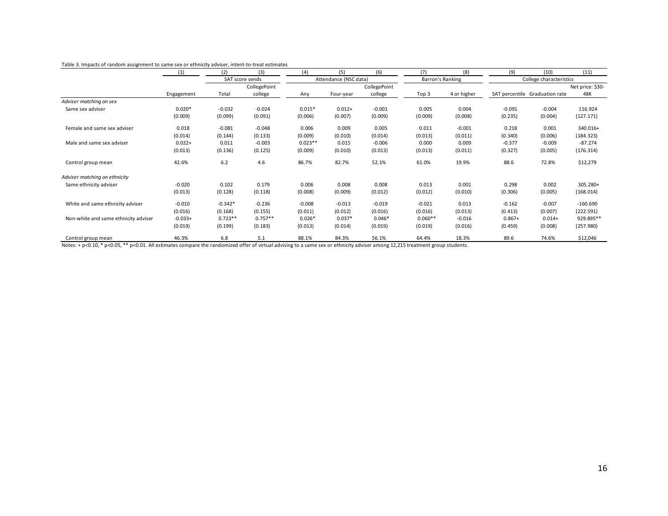| Table 3. Impacts of random assignment to same sex or ethnicity adviser, intent-to-treat estimates |            |                 |              |                       |              |          |                  |                         |          |                                |                  |  |
|---------------------------------------------------------------------------------------------------|------------|-----------------|--------------|-----------------------|--------------|----------|------------------|-------------------------|----------|--------------------------------|------------------|--|
|                                                                                                   | (1)        | (2)             | (3)          | (4)                   | (5)          | (6)      | (7)              | (8)                     | (9)      | (10)                           | (11)             |  |
|                                                                                                   |            | SAT score sends |              | Attendance (NSC data) |              |          | Barron's Ranking | College characteristics |          |                                |                  |  |
|                                                                                                   |            |                 | CollegePoint |                       | CollegePoint |          |                  |                         |          |                                | Net price: \$30- |  |
|                                                                                                   | Engagement | Total           | college      | Any                   | Four-year    | college  | Top 3            | 4 or higher             |          | SAT percentile Graduation rate | 48K              |  |
| Adviser matching on sex                                                                           |            |                 |              |                       |              |          |                  |                         |          |                                |                  |  |
| Same sex adviser                                                                                  | $0.020*$   | $-0.032$        | $-0.024$     | $0.015*$              | $0.012 +$    | $-0.001$ | 0.005            | 0.004                   | $-0.091$ | $-0.004$                       | 116.924          |  |
|                                                                                                   | (0.009)    | (0.099)         | (0.091)      | (0.006)               | (0.007)      | (0.009)  | (0.009)          | (0.008)                 | (0.235)  | (0.004)                        | (127.171)        |  |
|                                                                                                   |            |                 |              |                       |              |          |                  |                         |          |                                |                  |  |
|                                                                                                   |            |                 |              |                       | 0.009        | 0.005    | 0.011            | $-0.001$                | 0.218    | 0.001                          | 340.016+         |  |
| Female and same sex adviser                                                                       | 0.018      | $-0.081$        | $-0.048$     | 0.006                 |              |          |                  |                         |          |                                |                  |  |
|                                                                                                   |            |                 |              |                       |              |          |                  |                         |          |                                |                  |  |
|                                                                                                   | (0.014)    | (0.144)         | (0.133)      | (0.009)               | (0.010)      | (0.014)  | (0.013)          | (0.011)                 | (0.340)  | (0.006)                        | (184.323)        |  |
| Male and same sex adviser                                                                         | $0.022 +$  | 0.011           | $-0.003$     | $0.023**$             | 0.015        | $-0.006$ | 0.000            | 0.009                   | $-0.377$ | $-0.009$                       | $-87.274$        |  |
|                                                                                                   | (0.013)    | (0.136)         | (0.125)      | (0.009)               | (0.010)      | (0.013)  | (0.013)          | (0.011)                 | (0.327)  | (0.005)                        | (176.314)        |  |
| Control group mean                                                                                | 42.6%      | 6.2             | 4.6          | 86.7%                 | 82.7%        | 52.1%    | 61.0%            | 19.9%                   | 88.6     | 72.8%                          | \$12,279         |  |
|                                                                                                   |            |                 |              |                       |              |          |                  |                         |          |                                |                  |  |
|                                                                                                   |            |                 |              |                       |              |          |                  |                         |          |                                |                  |  |
| Adviser matching on ethnicity                                                                     |            |                 |              |                       |              |          |                  |                         |          |                                |                  |  |
| Same ethnicity adviser                                                                            | $-0.020$   | 0.102           | 0.179        | 0.006                 | 0.008        | 0.008    | 0.013            | 0.001                   | 0.298    | 0.002                          | 305.280+         |  |
|                                                                                                   | (0.013)    | (0.128)         | (0.118)      | (0.008)               | (0.009)      | (0.012)  | (0.012)          | (0.010)                 | (0.306)  | (0.005)                        | (168.014)        |  |
| White and same ethnicity adviser                                                                  | $-0.010$   | $-0.342*$       | $-0.236$     | $-0.008$              | $-0.013$     | $-0.019$ | $-0.021$         | 0.013                   | $-0.162$ | $-0.007$                       | $-160.690$       |  |
|                                                                                                   |            |                 |              |                       |              |          |                  |                         |          |                                |                  |  |
|                                                                                                   | (0.016)    | (0.168)         | (0.155)      | (0.011)               | (0.012)      | (0.016)  | (0.016)          | (0.013)                 | (0.413)  | (0.007)                        | (222.591)        |  |
| Non-white and same ethnicity adviser                                                              | $-0.033+$  | $0.723**$       | $0.757**$    | $0.026*$              | $0.037*$     | $0.046*$ | $0.060**$        | $-0.016$                | $0.867+$ | $0.014 +$                      | 929.895**        |  |
|                                                                                                   | (0.019)    | (0.199)         | (0.183)      | (0.013)               | (0.014)      | (0.019)  | (0.019)          | (0.016)                 | (0.459)  | (0.008)                        | (257.980)        |  |
| Control group mean                                                                                | 46.3%      | 6.8             | 5.1          | 88.1%                 | 84.3%        | 56.1%    | 64.4%            | 18.3%                   | 89.6     | 74.6%                          | \$12,046         |  |

#### Table 3. Impacts of random assignment to same sex or ethnicity adviser, intent-to-treat estimates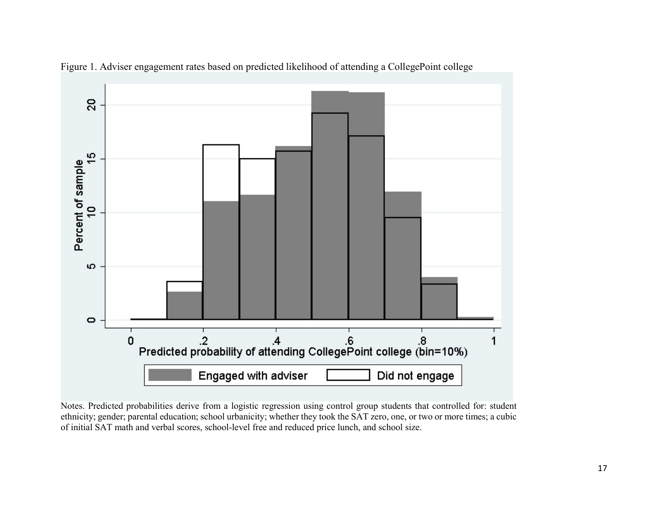

Figure 1. Adviser engagement rates based on predicted likelihood of attending a CollegePoint college

Notes. Predicted probabilities derive from a logistic regression using control group students that controlled for: student ethnicity; gender; parental education; school urbanicity; whether they took the SAT zero, one, or two or more times; a cubic of initial SAT math and verbal scores, school-level free and reduced price lunch, and school size.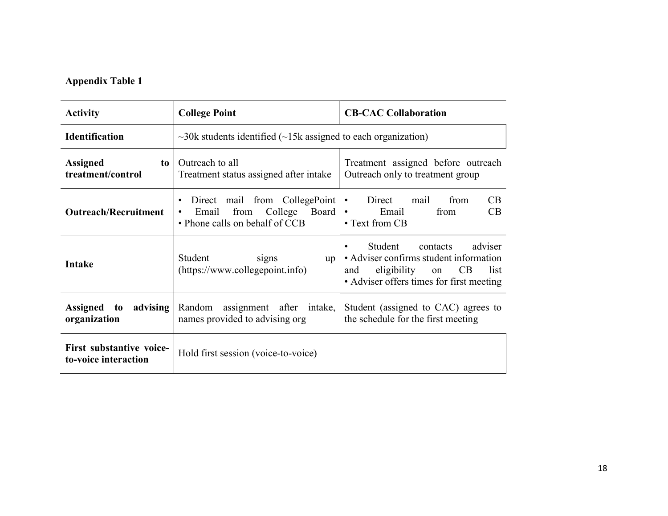### Appendix Table 1

| <b>Activity</b>                                  | <b>College Point</b>                                                                                                        | <b>CB-CAC Collaboration</b>                                                                                                                                           |
|--------------------------------------------------|-----------------------------------------------------------------------------------------------------------------------------|-----------------------------------------------------------------------------------------------------------------------------------------------------------------------|
| <b>Identification</b>                            | $\sim$ 30k students identified ( $\sim$ 15k assigned to each organization)                                                  |                                                                                                                                                                       |
| <b>Assigned</b><br>to<br>treatment/control       | Outreach to all<br>Treatment status assigned after intake                                                                   | Treatment assigned before outreach<br>Outreach only to treatment group                                                                                                |
| <b>Outreach/Recruitment</b>                      | Direct mail from CollegePoint<br>$\bullet$<br>Email<br>from<br>College Board<br>$\bullet$<br>• Phone calls on behalf of CCB | Direct<br>from<br>CB<br>mail<br>$\bullet$<br>Email<br>from<br>CB<br>$\bullet$<br>• Text from CB                                                                       |
| <b>Intake</b>                                    | Student<br>signs<br>up<br>(https://www.collegepoint.info)                                                                   | adviser<br>Student<br>contacts<br>$\bullet$<br>• Adviser confirms student information<br>eligibility on CB<br>list<br>and<br>• Adviser offers times for first meeting |
| advising<br>Assigned to<br>organization          | assignment after intake,<br>Random<br>names provided to advising org                                                        | Student (assigned to CAC) agrees to<br>the schedule for the first meeting                                                                                             |
| First substantive voice-<br>to-voice interaction | Hold first session (voice-to-voice)                                                                                         |                                                                                                                                                                       |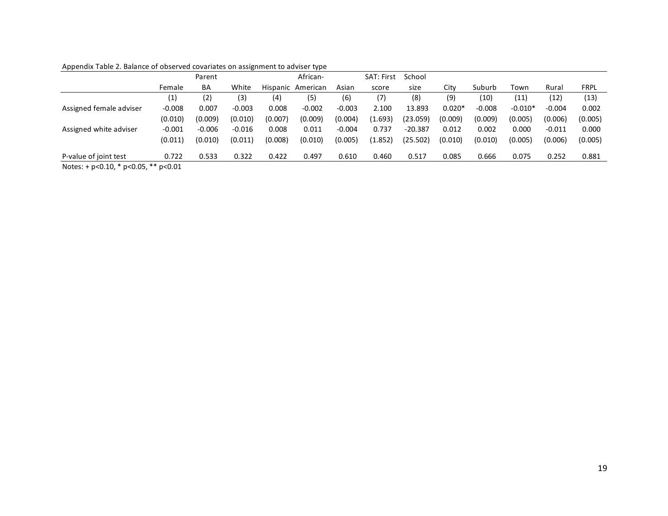| Appendix Table 2. Balance of observed covariates on assignment to adviser type |          |          |          |         |                   |          |                   |           |          |          |           |          |         |
|--------------------------------------------------------------------------------|----------|----------|----------|---------|-------------------|----------|-------------------|-----------|----------|----------|-----------|----------|---------|
|                                                                                |          |          |          |         | African-          |          | SAT: First School |           |          |          |           |          |         |
|                                                                                |          | Parent   |          |         |                   |          |                   |           |          | Suburb   | Town      | Rural    | FRPL    |
|                                                                                | Female   | BA       | White    |         | Hispanic American | Asian    | score             | size      | City     |          |           |          |         |
|                                                                                | (1)      | (2)      | (3)      | (4)     | (5)               | (6)      | (7)               | (8)       | (9)      | (10)     | (11)      | (12)     | (13)    |
| Assigned female adviser                                                        | $-0.008$ | 0.007    | $-0.003$ | 0.008   | $-0.002$          | $-0.003$ | 2.100             | 13.893    | $0.020*$ | $-0.008$ | $-0.010*$ | $-0.004$ | 0.002   |
|                                                                                | (0.010)  | (0.009)  | (0.010)  | (0.007) | (0.009)           | (0.004)  | (1.693)           | (23.059)  | (0.009)  | (0.009)  | (0.005)   | (0.006)  | (0.005) |
| Assigned white adviser                                                         | $-0.001$ | $-0.006$ | $-0.016$ | 0.008   | 0.011             | $-0.004$ | 0.737             | $-20.387$ | 0.012    | 0.002    | 0.000     | $-0.011$ | 0.000   |
|                                                                                | (0.011)  | (0.010)  | (0.011)  | (0.008) | (0.010)           | (0.005)  | (1.852)           | (25.502)  | (0.010)  | (0.010)  | (0.005)   | (0.006)  | (0.005) |
| P-value of joint test                                                          | 0.722    | 0.533    | 0.322    | 0.422   | 0.497             | 0.610    | 0.460             | 0.517     | 0.085    | 0.666    | 0.075     | 0.252    | 0.881   |

Appendix Table 2. Balance of observed covariates on assignment to adviser type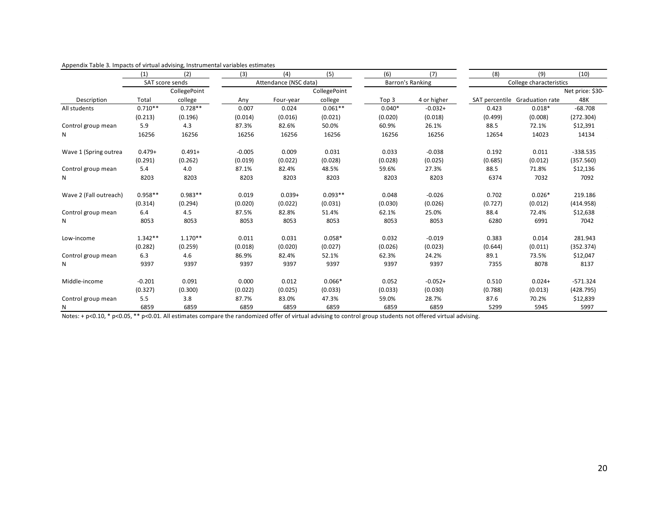|                         | (1)             | (2)          | Appendix Table 3. Impacts of virtual advising, Instrumental variables estimates<br>(3) | (4)                   | (5)           | (6)      | (7)              | (8)                            | (9)                     | (10)             |
|-------------------------|-----------------|--------------|----------------------------------------------------------------------------------------|-----------------------|---------------|----------|------------------|--------------------------------|-------------------------|------------------|
|                         | SAT score sends |              |                                                                                        | Attendance (NSC data) |               |          | Barron's Ranking |                                | College characteristics |                  |
|                         |                 | CollegePoint |                                                                                        |                       | CollegePoint  |          |                  |                                |                         | Net price: \$30- |
| Description             | Total           | college      | Any                                                                                    | Four-year             | college       | Top 3    | 4 or higher      | SAT percentile Graduation rate |                         | 48K              |
| All students            | $0.710**$       | $0.728**$    | 0.007                                                                                  | 0.024                 | $0.061**$     | $0.040*$ | $-0.032+$        | 0.423                          | $0.018*$                | $-68.708$        |
|                         | (0.213)         | (0.196)      | (0.014)                                                                                | (0.016)               | (0.021)       | (0.020)  | (0.018)          | (0.499)                        | (0.008)                 | (272.304)        |
| Control group mean      | 5.9             | 4.3          | 87.3%                                                                                  | 82.6%                 | 50.0%         | 60.9%    | 26.1%            | 88.5                           | 72.1%                   | \$12,391         |
| N                       | 16256           | 16256        | 16256                                                                                  | 16256                 | 16256         | 16256    | 16256            | 12654                          | 14023                   | 14134            |
| Wave 1 (Spring outrea   | $0.479+$        | $0.491 +$    | $-0.005$                                                                               | 0.009                 | 0.031         | 0.033    | $-0.038$         | 0.192                          | 0.011                   | $-338.535$       |
|                         | (0.291)         | (0.262)      | (0.019)                                                                                | (0.022)               | (0.028)       | (0.028)  | (0.025)          | (0.685)                        | (0.012)                 | (357.560)        |
| Control group mean      | 5.4             | 4.0          | 87.1%                                                                                  | 82.4%                 | 48.5%         | 59.6%    | 27.3%            | 88.5                           | 71.8%                   | \$12,136         |
| N                       | 8203            | 8203         | 8203                                                                                   | 8203                  | 8203          | 8203     | 8203             | 6374                           | 7032                    | 7092             |
| Wave 2 (Fall outreach)  | $0.958**$       | $0.983**$    | 0.019                                                                                  | $0.039 +$             | $0.093**$     | 0.048    | $-0.026$         | 0.702                          | $0.026*$                | 219.186          |
|                         | (0.314)         | (0.294)      | (0.020)                                                                                | (0.022)               | (0.031)       | (0.030)  | (0.026)          | (0.727)                        | (0.012)                 | (414.958)        |
| Control group mean      | 6.4             | 4.5          | 87.5%                                                                                  | 82.8%                 | 51.4%         | 62.1%    | 25.0%            | 88.4                           | 72.4%                   | \$12,638         |
| N                       | 8053            | 8053         | 8053                                                                                   | 8053                  | 8053          | 8053     | 8053             | 6280                           | 6991                    | 7042             |
| Low-income              | $1.342**$       | $1.170**$    | 0.011                                                                                  | 0.031                 | $0.058*$      | 0.032    | $-0.019$         | 0.383                          | 0.014                   | 281.943          |
|                         | (0.282)         | (0.259)      | (0.018)                                                                                | (0.020)               | (0.027)       | (0.026)  | (0.023)          | (0.644)                        | (0.011)                 | (352.374)        |
| Control group mean      | 6.3             | 4.6          | 86.9%                                                                                  | 82.4%                 | 52.1%         | 62.3%    | 24.2%            | 89.1                           | 73.5%                   | \$12,047         |
| N                       | 9397            | 9397         | 9397                                                                                   | 9397                  | 9397          | 9397     | 9397             | 7355                           | 8078                    | 8137             |
|                         |                 |              |                                                                                        |                       |               |          |                  |                                |                         |                  |
| Middle-income           | $-0.201$        | 0.091        | 0.000                                                                                  | 0.012                 | $0.066*$      | 0.052    | $-0.052+$        | 0.510                          | $0.024 +$               | $-571.324$       |
|                         | (0.327)         | (0.300)      | (0.022)                                                                                | (0.025)               | (0.033)       | (0.033)  | (0.030)          | (0.788)                        | (0.013)                 | (428.795)        |
|                         | 5.5             | 3.8          | 87.7%                                                                                  | 83.0%<br>6859         | 47.3%<br>6859 | 59.0%    | 28.7%            | 87.6                           | 70.2%                   | \$12,839         |
| Control group mean<br>N | 6859            | 6859         | 6859                                                                                   |                       |               | 6859     | 6859             | 5299                           | 5945                    | 5997             |

| Appendix Table 3. Impacts of virtual advising, Instrumental variables estimates |
|---------------------------------------------------------------------------------|
|---------------------------------------------------------------------------------|